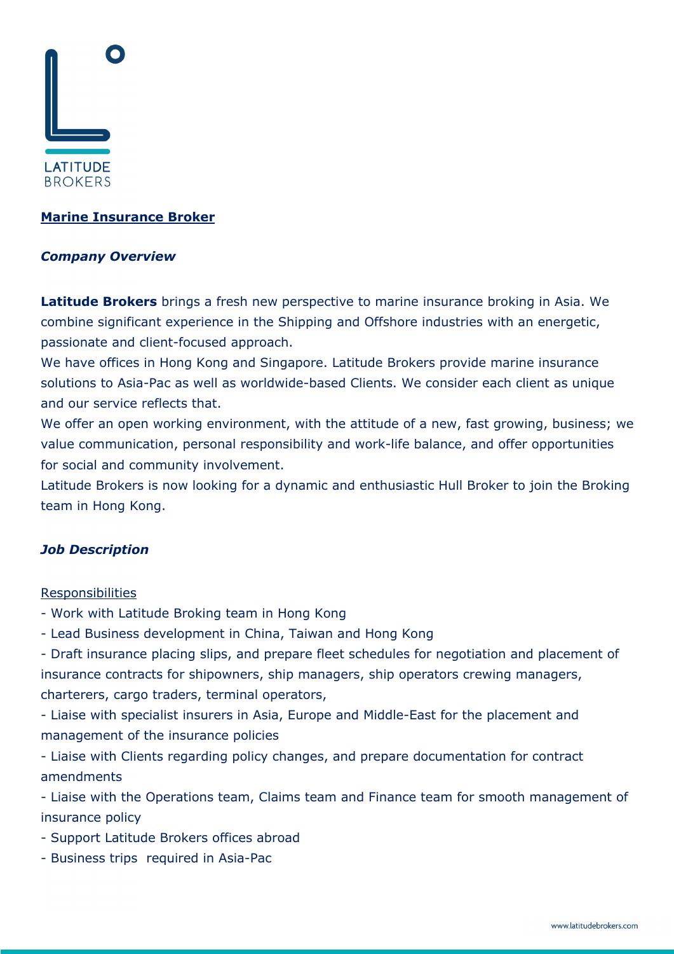

## **Marine Insurance Broker**

### *Company Overview*

**Latitude Brokers** brings a fresh new perspective to marine insurance broking in Asia. We combine significant experience in the Shipping and Offshore industries with an energetic, passionate and client-focused approach.

We have offices in Hong Kong and Singapore. Latitude Brokers provide marine insurance solutions to Asia-Pac as well as worldwide-based Clients. We consider each client as unique and our service reflects that.

We offer an open working environment, with the attitude of a new, fast growing, business; we value communication, personal responsibility and work-life balance, and offer opportunities for social and community involvement.

Latitude Brokers is now looking for a dynamic and enthusiastic Hull Broker to join the Broking team in Hong Kong.

# *Job Description*

#### **Responsibilities**

- Work with Latitude Broking team in Hong Kong
- Lead Business development in China, Taiwan and Hong Kong

- Draft insurance placing slips, and prepare fleet schedules for negotiation and placement of insurance contracts for shipowners, ship managers, ship operators crewing managers, charterers, cargo traders, terminal operators,

- Liaise with specialist insurers in Asia, Europe and Middle-East for the placement and management of the insurance policies

- Liaise with Clients regarding policy changes, and prepare documentation for contract amendments

- Liaise with the Operations team, Claims team and Finance team for smooth management of insurance policy

- Support Latitude Brokers offices abroad
- Business trips required in Asia-Pac